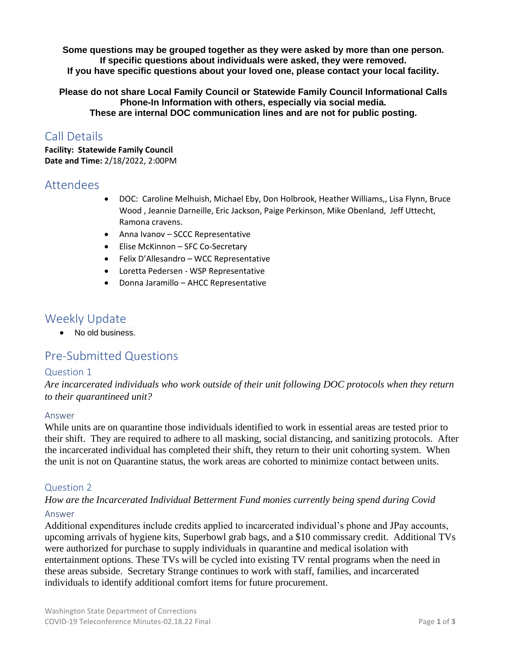**Some questions may be grouped together as they were asked by more than one person. If specific questions about individuals were asked, they were removed. If you have specific questions about your loved one, please contact your local facility.** 

**Please do not share Local Family Council or Statewide Family Council Informational Calls Phone-In Information with others, especially via social media. These are internal DOC communication lines and are not for public posting.**

# Call Details

**Facility: Statewide Family Council Date and Time:** 2/18/2022, 2:00PM

### Attendees

- DOC: Caroline Melhuish, Michael Eby, Don Holbrook, Heather Williams,, Lisa Flynn, Bruce Wood , Jeannie Darneille, Eric Jackson, Paige Perkinson, Mike Obenland, Jeff Uttecht, Ramona cravens.
- Anna Ivanov SCCC Representative
- Elise McKinnon SFC Co-Secretary
- Felix D'Allesandro WCC Representative
- Loretta Pedersen WSP Representative
- Donna Jaramillo AHCC Representative

# Weekly Update

• No old business.

# Pre-Submitted Questions

#### Question 1

*Are incarcerated individuals who work outside of their unit following DOC protocols when they return to their quarantineed unit?* 

#### Answer

While units are on quarantine those individuals identified to work in essential areas are tested prior to their shift. They are required to adhere to all masking, social distancing, and sanitizing protocols. After the incarcerated individual has completed their shift, they return to their unit cohorting system. When the unit is not on Quarantine status, the work areas are cohorted to minimize contact between units.

### Question 2

### *How are the Incarcerated Individual Betterment Fund monies currently being spend during Covid* Answer

Additional expenditures include credits applied to incarcerated individual's phone and JPay accounts, upcoming arrivals of hygiene kits, Superbowl grab bags, and a \$10 commissary credit. Additional TVs were authorized for purchase to supply individuals in quarantine and medical isolation with entertainment options. These TVs will be cycled into existing TV rental programs when the need in these areas subside. Secretary Strange continues to work with staff, families, and incarcerated individuals to identify additional comfort items for future procurement.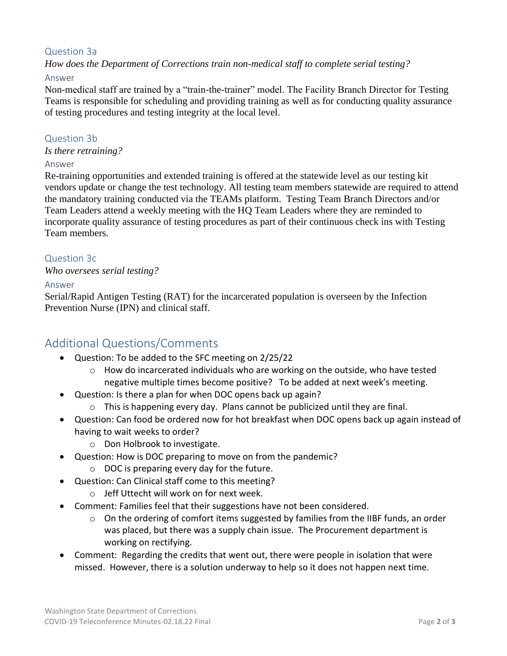### Question 3a

*How does the Department of Corrections train non-medical staff to complete serial testing?*

#### Answer

Non-medical staff are trained by a "train-the-trainer" model. The Facility Branch Director for Testing Teams is responsible for scheduling and providing training as well as for conducting quality assurance of testing procedures and testing integrity at the local level.

#### Question 3b

*Is there retraining?*

#### Answer

Re-training opportunities and extended training is offered at the statewide level as our testing kit vendors update or change the test technology. All testing team members statewide are required to attend the mandatory training conducted via the TEAMs platform. Testing Team Branch Directors and/or Team Leaders attend a weekly meeting with the HQ Team Leaders where they are reminded to incorporate quality assurance of testing procedures as part of their continuous check ins with Testing Team members.

### Question 3c

#### *Who oversees serial testing?*

#### Answer

Serial/Rapid Antigen Testing (RAT) for the incarcerated population is overseen by the Infection Prevention Nurse (IPN) and clinical staff.

# Additional Questions/Comments

- Question: To be added to the SFC meeting on 2/25/22
	- $\circ$  How do incarcerated individuals who are working on the outside, who have tested negative multiple times become positive? To be added at next week's meeting.
- Question: Is there a plan for when DOC opens back up again?
	- o This is happening every day. Plans cannot be publicized until they are final.
- Question: Can food be ordered now for hot breakfast when DOC opens back up again instead of having to wait weeks to order?
	- o Don Holbrook to investigate.
- Question: How is DOC preparing to move on from the pandemic?
	- o DOC is preparing every day for the future.
- Question: Can Clinical staff come to this meeting?
	- o Jeff Uttecht will work on for next week.
- Comment: Families feel that their suggestions have not been considered.
	- $\circ$  On the ordering of comfort items suggested by families from the IIBF funds, an order was placed, but there was a supply chain issue. The Procurement department is working on rectifying.
- Comment: Regarding the credits that went out, there were people in isolation that were missed. However, there is a solution underway to help so it does not happen next time.